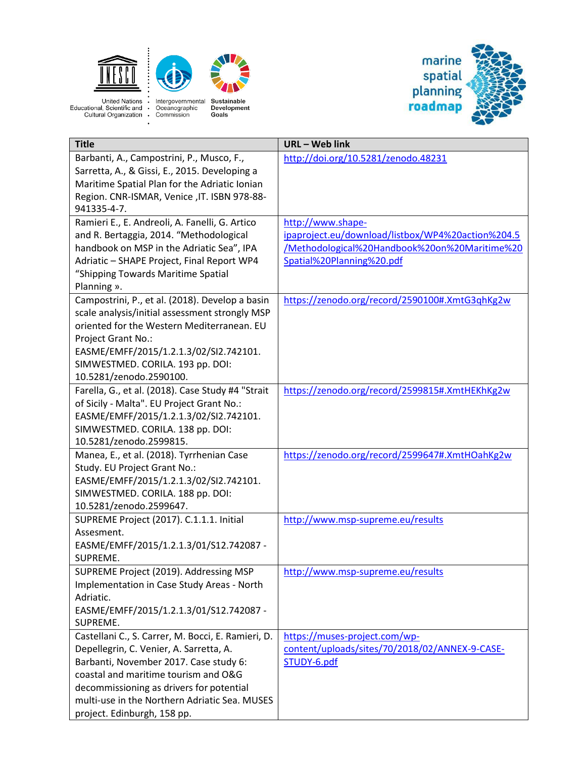

 $\cdot$ 



United Nations : Intergovernmental<br>Educational, Scientific and · Oceanographic<br>Cultural Organization · Commission



| <b>Title</b>                                       | URL - Web link                                    |
|----------------------------------------------------|---------------------------------------------------|
| Barbanti, A., Campostrini, P., Musco, F.,          | http://doi.org/10.5281/zenodo.48231               |
| Sarretta, A., & Gissi, E., 2015. Developing a      |                                                   |
| Maritime Spatial Plan for the Adriatic Ionian      |                                                   |
| Region. CNR-ISMAR, Venice , IT. ISBN 978-88-       |                                                   |
| 941335-4-7.                                        |                                                   |
| Ramieri E., E. Andreoli, A. Fanelli, G. Artico     | http://www.shape-                                 |
| and R. Bertaggia, 2014. "Methodological            | ipaproject.eu/download/listbox/WP4%20action%204.5 |
| handbook on MSP in the Adriatic Sea", IPA          | /Methodological%20Handbook%20on%20Maritime%20     |
| Adriatic - SHAPE Project, Final Report WP4         | Spatial%20Planning%20.pdf                         |
| "Shipping Towards Maritime Spatial                 |                                                   |
| Planning ».                                        |                                                   |
| Campostrini, P., et al. (2018). Develop a basin    | https://zenodo.org/record/2590100#.XmtG3qhKg2w    |
| scale analysis/initial assessment strongly MSP     |                                                   |
| oriented for the Western Mediterranean. EU         |                                                   |
| Project Grant No.:                                 |                                                   |
| EASME/EMFF/2015/1.2.1.3/02/SI2.742101.             |                                                   |
| SIMWESTMED. CORILA. 193 pp. DOI:                   |                                                   |
| 10.5281/zenodo.2590100.                            |                                                   |
| Farella, G., et al. (2018). Case Study #4 "Strait  | https://zenodo.org/record/2599815#.XmtHEKhKg2w    |
| of Sicily - Malta". EU Project Grant No.:          |                                                   |
| EASME/EMFF/2015/1.2.1.3/02/SI2.742101.             |                                                   |
| SIMWESTMED. CORILA. 138 pp. DOI:                   |                                                   |
| 10.5281/zenodo.2599815.                            |                                                   |
| Manea, E., et al. (2018). Tyrrhenian Case          | https://zenodo.org/record/2599647#.XmtHOahKg2w    |
| Study. EU Project Grant No.:                       |                                                   |
| EASME/EMFF/2015/1.2.1.3/02/SI2.742101.             |                                                   |
| SIMWESTMED. CORILA. 188 pp. DOI:                   |                                                   |
| 10.5281/zenodo.2599647.                            |                                                   |
| SUPREME Project (2017). C.1.1.1. Initial           | http://www.msp-supreme.eu/results                 |
| Assesment.                                         |                                                   |
| EASME/EMFF/2015/1.2.1.3/01/S12.742087 -            |                                                   |
| SUPREME.                                           |                                                   |
| SUPREME Project (2019). Addressing MSP             | http://www.msp-supreme.eu/results                 |
| Implementation in Case Study Areas - North         |                                                   |
| Adriatic.                                          |                                                   |
| EASME/EMFF/2015/1.2.1.3/01/S12.742087 -            |                                                   |
| SUPREME.                                           |                                                   |
| Castellani C., S. Carrer, M. Bocci, E. Ramieri, D. | https://muses-project.com/wp-                     |
| Depellegrin, C. Venier, A. Sarretta, A.            | content/uploads/sites/70/2018/02/ANNEX-9-CASE-    |
| Barbanti, November 2017. Case study 6:             | STUDY-6.pdf                                       |
| coastal and maritime tourism and O&G               |                                                   |
| decommissioning as drivers for potential           |                                                   |
| multi-use in the Northern Adriatic Sea. MUSES      |                                                   |
| project. Edinburgh, 158 pp.                        |                                                   |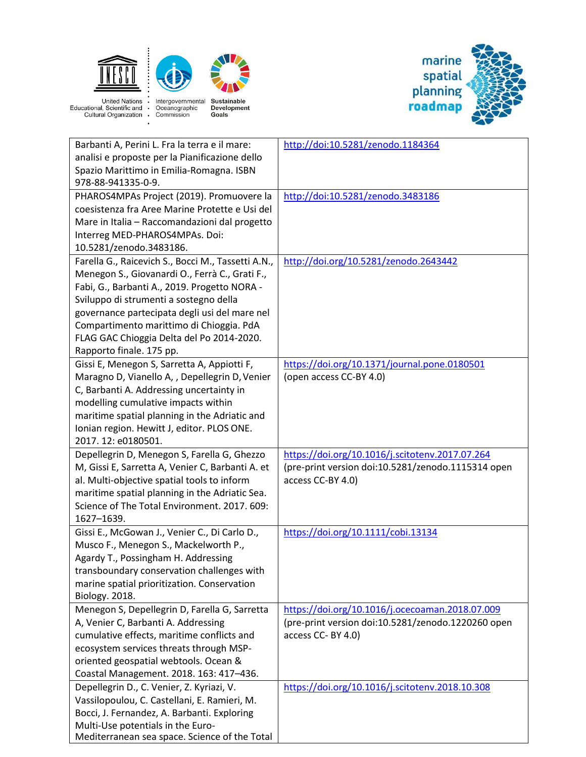



United Nations : Intergovernmental<br>Educational, Scientific and · Oceanographic<br>Cultural Organization · Commission  $\cdot$ 



| Barbanti A, Perini L. Fra la terra e il mare:      | http://doi:10.5281/zenodo.1184364                  |
|----------------------------------------------------|----------------------------------------------------|
| analisi e proposte per la Pianificazione dello     |                                                    |
| Spazio Marittimo in Emilia-Romagna. ISBN           |                                                    |
| 978-88-941335-0-9.                                 |                                                    |
| PHAROS4MPAs Project (2019). Promuovere la          | http://doi:10.5281/zenodo.3483186                  |
| coesistenza fra Aree Marine Protette e Usi del     |                                                    |
| Mare in Italia - Raccomandazioni dal progetto      |                                                    |
| Interreg MED-PHAROS4MPAs. Doi:                     |                                                    |
| 10.5281/zenodo.3483186.                            |                                                    |
| Farella G., Raicevich S., Bocci M., Tassetti A.N., | http://doi.org/10.5281/zenodo.2643442              |
| Menegon S., Giovanardi O., Ferrà C., Grati F.,     |                                                    |
| Fabi, G., Barbanti A., 2019. Progetto NORA -       |                                                    |
| Sviluppo di strumenti a sostegno della             |                                                    |
| governance partecipata degli usi del mare nel      |                                                    |
| Compartimento marittimo di Chioggia. PdA           |                                                    |
| FLAG GAC Chioggia Delta del Po 2014-2020.          |                                                    |
| Rapporto finale. 175 pp.                           |                                                    |
| Gissi E, Menegon S, Sarretta A, Appiotti F,        | https://doi.org/10.1371/journal.pone.0180501       |
| Maragno D, Vianello A, , Depellegrin D, Venier     | (open access CC-BY 4.0)                            |
| C, Barbanti A. Addressing uncertainty in           |                                                    |
| modelling cumulative impacts within                |                                                    |
| maritime spatial planning in the Adriatic and      |                                                    |
| Ionian region. Hewitt J, editor. PLOS ONE.         |                                                    |
| 2017. 12: e0180501.                                |                                                    |
| Depellegrin D, Menegon S, Farella G, Ghezzo        | https://doi.org/10.1016/j.scitotenv.2017.07.264    |
| M, Gissi E, Sarretta A, Venier C, Barbanti A. et   | (pre-print version doi:10.5281/zenodo.1115314 open |
| al. Multi-objective spatial tools to inform        | access CC-BY 4.0)                                  |
| maritime spatial planning in the Adriatic Sea.     |                                                    |
| Science of The Total Environment. 2017. 609:       |                                                    |
| 1627-1639.                                         |                                                    |
| Gissi E., McGowan J., Venier C., Di Carlo D.,      | https://doi.org/10.1111/cobi.13134                 |
| Musco F., Menegon S., Mackelworth P.,              |                                                    |
| Agardy T., Possingham H. Addressing                |                                                    |
| transboundary conservation challenges with         |                                                    |
| marine spatial prioritization. Conservation        |                                                    |
| <b>Biology. 2018.</b>                              |                                                    |
| Menegon S, Depellegrin D, Farella G, Sarretta      | https://doi.org/10.1016/j.ocecoaman.2018.07.009    |
| A, Venier C, Barbanti A. Addressing                | (pre-print version doi:10.5281/zenodo.1220260 open |
| cumulative effects, maritime conflicts and         | access CC-BY 4.0)                                  |
| ecosystem services threats through MSP-            |                                                    |
| oriented geospatial webtools. Ocean &              |                                                    |
| Coastal Management. 2018. 163: 417-436.            |                                                    |
| Depellegrin D., C. Venier, Z. Kyriazi, V.          | https://doi.org/10.1016/j.scitotenv.2018.10.308    |
| Vassilopoulou, C. Castellani, E. Ramieri, M.       |                                                    |
| Bocci, J. Fernandez, A. Barbanti. Exploring        |                                                    |
| Multi-Use potentials in the Euro-                  |                                                    |
| Mediterranean sea space. Science of the Total      |                                                    |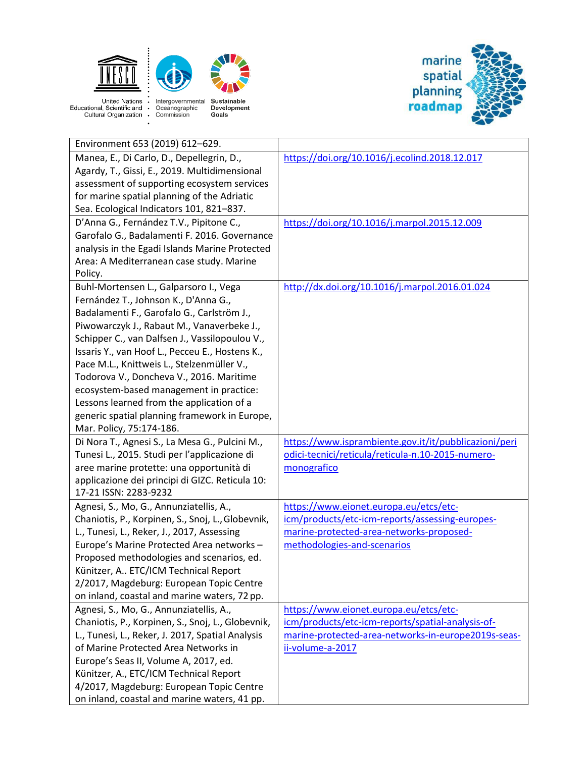



United Nations : Intergovernmental<br>Educational, Scientific and · Oceanographic<br>Cultural Organization · Commission  $\cdot$ 



| Environment 653 (2019) 612-629.                                                                                                                                                                                                                                                                                                                                                                                                                                                                                                                |                                                       |
|------------------------------------------------------------------------------------------------------------------------------------------------------------------------------------------------------------------------------------------------------------------------------------------------------------------------------------------------------------------------------------------------------------------------------------------------------------------------------------------------------------------------------------------------|-------------------------------------------------------|
| Manea, E., Di Carlo, D., Depellegrin, D.,<br>Agardy, T., Gissi, E., 2019. Multidimensional<br>assessment of supporting ecosystem services<br>for marine spatial planning of the Adriatic<br>Sea. Ecological Indicators 101, 821-837.                                                                                                                                                                                                                                                                                                           | https://doi.org/10.1016/j.ecolind.2018.12.017         |
| D'Anna G., Fernández T.V., Pipitone C.,<br>Garofalo G., Badalamenti F. 2016. Governance<br>analysis in the Egadi Islands Marine Protected<br>Area: A Mediterranean case study. Marine<br>Policy.                                                                                                                                                                                                                                                                                                                                               | https://doi.org/10.1016/j.marpol.2015.12.009          |
| Buhl-Mortensen L., Galparsoro I., Vega<br>Fernández T., Johnson K., D'Anna G.,<br>Badalamenti F., Garofalo G., Carlström J.,<br>Piwowarczyk J., Rabaut M., Vanaverbeke J.,<br>Schipper C., van Dalfsen J., Vassilopoulou V.,<br>Issaris Y., van Hoof L., Pecceu E., Hostens K.,<br>Pace M.L., Knittweis L., Stelzenmüller V.,<br>Todorova V., Doncheva V., 2016. Maritime<br>ecosystem-based management in practice:<br>Lessons learned from the application of a<br>generic spatial planning framework in Europe,<br>Mar. Policy, 75:174-186. | http://dx.doi.org/10.1016/j.marpol.2016.01.024        |
| Di Nora T., Agnesi S., La Mesa G., Pulcini M.,                                                                                                                                                                                                                                                                                                                                                                                                                                                                                                 | https://www.isprambiente.gov.it/it/pubblicazioni/peri |
| Tunesi L., 2015. Studi per l'applicazione di                                                                                                                                                                                                                                                                                                                                                                                                                                                                                                   | odici-tecnici/reticula/reticula-n.10-2015-numero-     |
| aree marine protette: una opportunità di                                                                                                                                                                                                                                                                                                                                                                                                                                                                                                       | monografico                                           |
| applicazione dei principi di GIZC. Reticula 10:<br>17-21 ISSN: 2283-9232                                                                                                                                                                                                                                                                                                                                                                                                                                                                       |                                                       |
| Agnesi, S., Mo, G., Annunziatellis, A.,                                                                                                                                                                                                                                                                                                                                                                                                                                                                                                        | https://www.eionet.europa.eu/etcs/etc-                |
| Chaniotis, P., Korpinen, S., Snoj, L., Globevnik,                                                                                                                                                                                                                                                                                                                                                                                                                                                                                              | icm/products/etc-icm-reports/assessing-europes-       |
| L., Tunesi, L., Reker, J., 2017, Assessing                                                                                                                                                                                                                                                                                                                                                                                                                                                                                                     | marine-protected-area-networks-proposed-              |
| Europe's Marine Protected Area networks -                                                                                                                                                                                                                                                                                                                                                                                                                                                                                                      | methodologies-and-scenarios                           |
| Proposed methodologies and scenarios, ed.                                                                                                                                                                                                                                                                                                                                                                                                                                                                                                      |                                                       |
| Künitzer, A ETC/ICM Technical Report                                                                                                                                                                                                                                                                                                                                                                                                                                                                                                           |                                                       |
| 2/2017, Magdeburg: European Topic Centre                                                                                                                                                                                                                                                                                                                                                                                                                                                                                                       |                                                       |
| on inland, coastal and marine waters, 72 pp.                                                                                                                                                                                                                                                                                                                                                                                                                                                                                                   |                                                       |
| Agnesi, S., Mo, G., Annunziatellis, A.,                                                                                                                                                                                                                                                                                                                                                                                                                                                                                                        | https://www.eionet.europa.eu/etcs/etc-                |
| Chaniotis, P., Korpinen, S., Snoj, L., Globevnik,                                                                                                                                                                                                                                                                                                                                                                                                                                                                                              | icm/products/etc-icm-reports/spatial-analysis-of-     |
| L., Tunesi, L., Reker, J. 2017, Spatial Analysis                                                                                                                                                                                                                                                                                                                                                                                                                                                                                               | marine-protected-area-networks-in-europe2019s-seas-   |
| of Marine Protected Area Networks in                                                                                                                                                                                                                                                                                                                                                                                                                                                                                                           | ii-volume-a-2017                                      |
| Europe's Seas II, Volume A, 2017, ed.                                                                                                                                                                                                                                                                                                                                                                                                                                                                                                          |                                                       |
| Künitzer, A., ETC/ICM Technical Report                                                                                                                                                                                                                                                                                                                                                                                                                                                                                                         |                                                       |
| 4/2017, Magdeburg: European Topic Centre                                                                                                                                                                                                                                                                                                                                                                                                                                                                                                       |                                                       |
| on inland, coastal and marine waters, 41 pp.                                                                                                                                                                                                                                                                                                                                                                                                                                                                                                   |                                                       |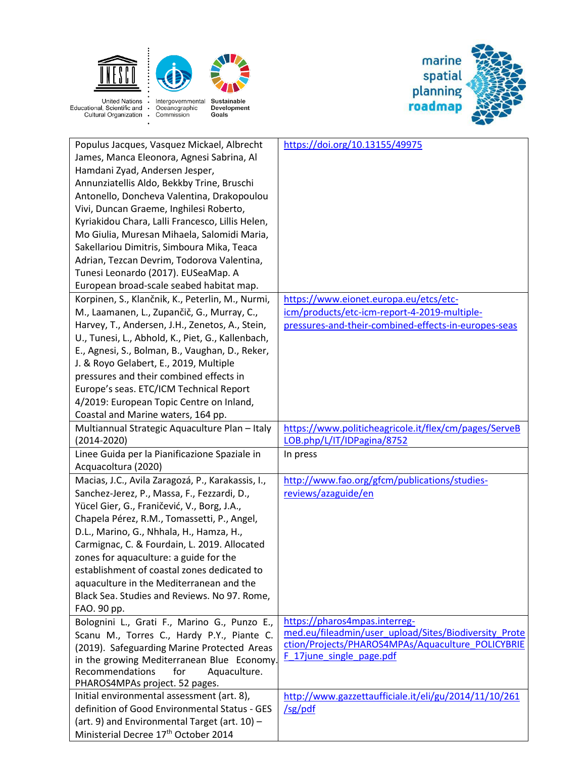

 $\cdot$ 



United Nations : Intergovernmental<br>Educational, Scientific and · Oceanographic<br>Cultural Organization · Commission

| Populus Jacques, Vasquez Mickael, Albrecht                                                  | https://doi.org/10.13155/49975                                                         |
|---------------------------------------------------------------------------------------------|----------------------------------------------------------------------------------------|
| James, Manca Eleonora, Agnesi Sabrina, Al                                                   |                                                                                        |
|                                                                                             |                                                                                        |
| Hamdani Zyad, Andersen Jesper,                                                              |                                                                                        |
| Annunziatellis Aldo, Bekkby Trine, Bruschi                                                  |                                                                                        |
| Antonello, Doncheva Valentina, Drakopoulou                                                  |                                                                                        |
| Vivi, Duncan Graeme, Inghilesi Roberto,                                                     |                                                                                        |
| Kyriakidou Chara, Lalli Francesco, Lillis Helen,                                            |                                                                                        |
| Mo Giulia, Muresan Mihaela, Salomidi Maria,                                                 |                                                                                        |
| Sakellariou Dimitris, Simboura Mika, Teaca                                                  |                                                                                        |
| Adrian, Tezcan Devrim, Todorova Valentina,                                                  |                                                                                        |
| Tunesi Leonardo (2017). EUSeaMap. A                                                         |                                                                                        |
| European broad-scale seabed habitat map.                                                    |                                                                                        |
| Korpinen, S., Klančnik, K., Peterlin, M., Nurmi,                                            | https://www.eionet.europa.eu/etcs/etc-                                                 |
| M., Laamanen, L., Zupančič, G., Murray, C.,                                                 | icm/products/etc-icm-report-4-2019-multiple-                                           |
| Harvey, T., Andersen, J.H., Zenetos, A., Stein,                                             | pressures-and-their-combined-effects-in-europes-seas                                   |
| U., Tunesi, L., Abhold, K., Piet, G., Kallenbach,                                           |                                                                                        |
| E., Agnesi, S., Bolman, B., Vaughan, D., Reker,                                             |                                                                                        |
| J. & Royo Gelabert, E., 2019, Multiple                                                      |                                                                                        |
| pressures and their combined effects in                                                     |                                                                                        |
| Europe's seas. ETC/ICM Technical Report                                                     |                                                                                        |
|                                                                                             |                                                                                        |
| 4/2019: European Topic Centre on Inland,                                                    |                                                                                        |
| Coastal and Marine waters, 164 pp.                                                          |                                                                                        |
| Multiannual Strategic Aquaculture Plan - Italy                                              | https://www.politicheagricole.it/flex/cm/pages/ServeB                                  |
| $(2014 - 2020)$                                                                             | LOB.php/L/IT/IDPagina/8752                                                             |
| Linee Guida per la Pianificazione Spaziale in                                               | In press                                                                               |
| Acquacoltura (2020)                                                                         |                                                                                        |
| Macias, J.C., Avila Zaragozá, P., Karakassis, I.,                                           | http://www.fao.org/gfcm/publications/studies-                                          |
| Sanchez-Jerez, P., Massa, F., Fezzardi, D.,                                                 | reviews/azaguide/en                                                                    |
| Yücel Gier, G., Franičević, V., Borg, J.A.,                                                 |                                                                                        |
| Chapela Pérez, R.M., Tomassetti, P., Angel,                                                 |                                                                                        |
| D.L., Marino, G., Nhhala, H., Hamza, H.,                                                    |                                                                                        |
| Carmignac, C. & Fourdain, L. 2019. Allocated                                                |                                                                                        |
| zones for aquaculture: a guide for the                                                      |                                                                                        |
|                                                                                             |                                                                                        |
| establishment of coastal zones dedicated to                                                 |                                                                                        |
| aquaculture in the Mediterranean and the                                                    |                                                                                        |
| Black Sea. Studies and Reviews. No 97. Rome,                                                |                                                                                        |
| FAO. 90 pp.                                                                                 |                                                                                        |
|                                                                                             |                                                                                        |
| Bolognini L., Grati F., Marino G., Punzo E.,                                                | https://pharos4mpas.interreg-<br>med.eu/fileadmin/user_upload/Sites/Biodiversity_Prote |
| Scanu M., Torres C., Hardy P.Y., Piante C.                                                  | ction/Projects/PHAROS4MPAs/Aquaculture_POLICYBRIE                                      |
| (2019). Safeguarding Marine Protected Areas                                                 | F 17june single page.pdf                                                               |
| in the growing Mediterranean Blue Economy.                                                  |                                                                                        |
| Recommendations<br>for<br>Aquaculture.                                                      |                                                                                        |
| PHAROS4MPAs project. 52 pages.                                                              |                                                                                        |
| Initial environmental assessment (art. 8),<br>definition of Good Environmental Status - GES | http://www.gazzettaufficiale.it/eli/gu/2014/11/10/261                                  |
|                                                                                             | /sg/pdf                                                                                |
| (art. 9) and Environmental Target (art. 10) -<br>Ministerial Decree 17th October 2014       |                                                                                        |